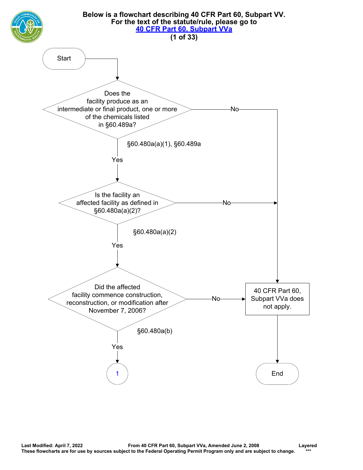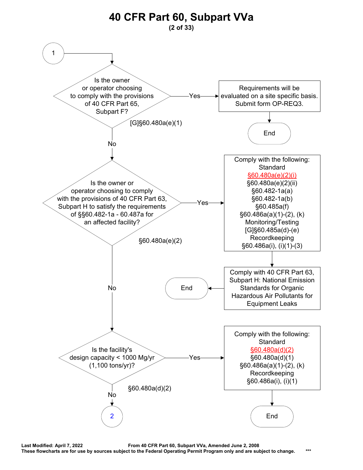<span id="page-1-0"></span>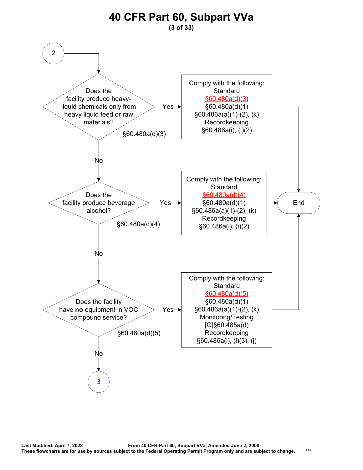<span id="page-2-0"></span>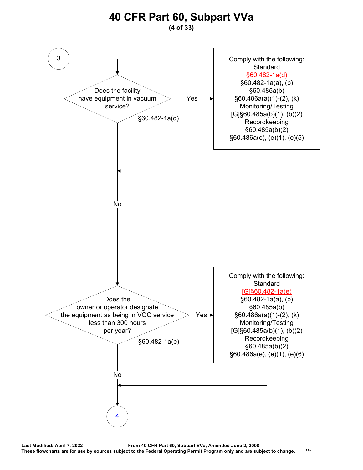### **40 CFR Part 60, Subpart VVa (4 of 33)**

<span id="page-3-0"></span>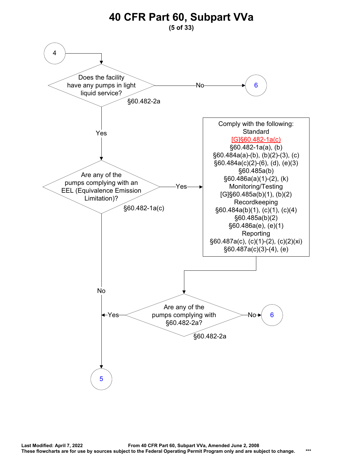<span id="page-4-0"></span>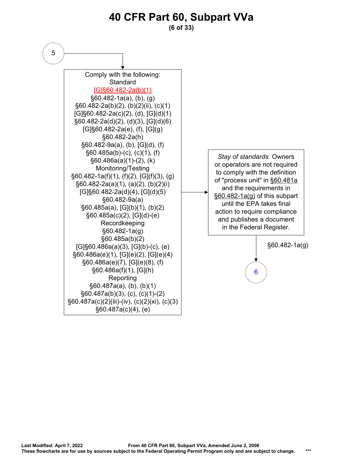### **40 CFR Part 60, Subpart VVa (6 of 33)**

<span id="page-5-0"></span>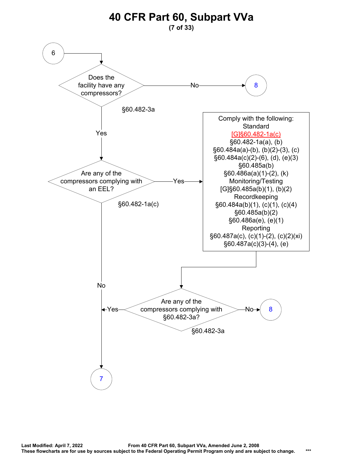<span id="page-6-0"></span>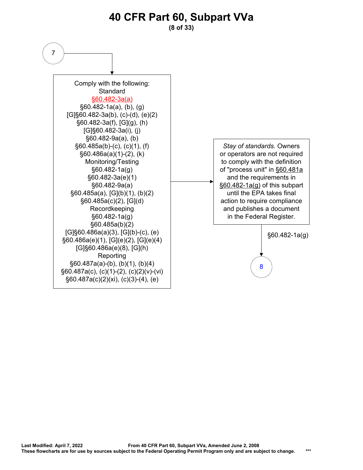**(8 of 33)**

<span id="page-7-0"></span>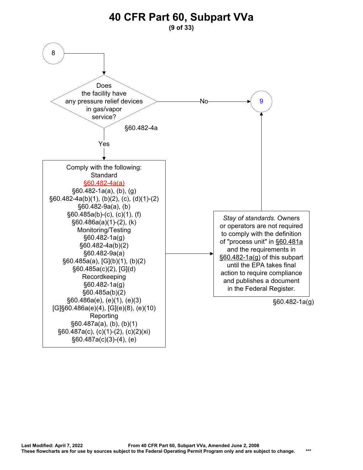**(9 of 33)**

<span id="page-8-0"></span>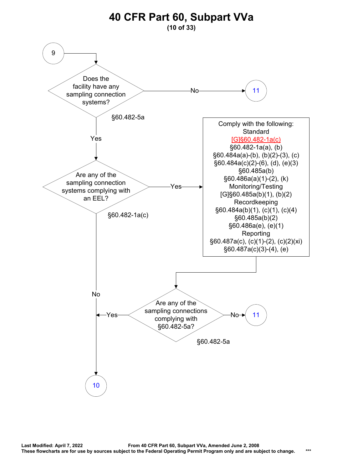<span id="page-9-0"></span>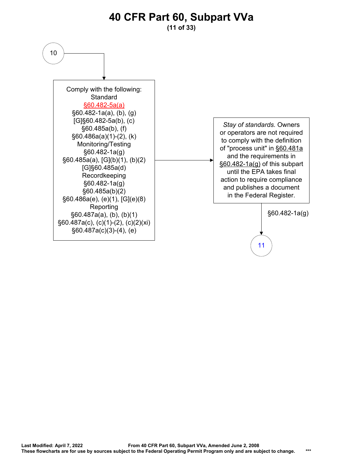<span id="page-10-0"></span>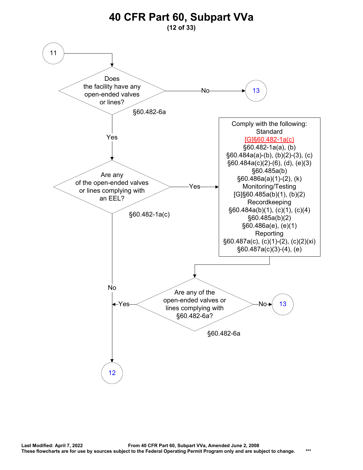<span id="page-11-0"></span>![](_page_11_Figure_0.jpeg)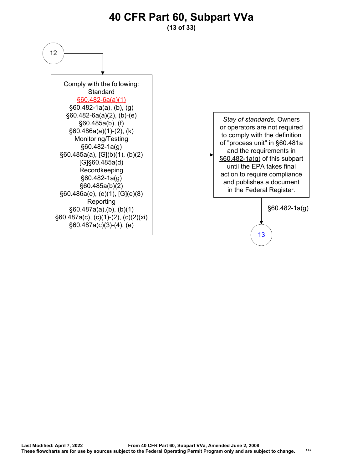**(13 of 33)**

<span id="page-12-0"></span>![](_page_12_Figure_2.jpeg)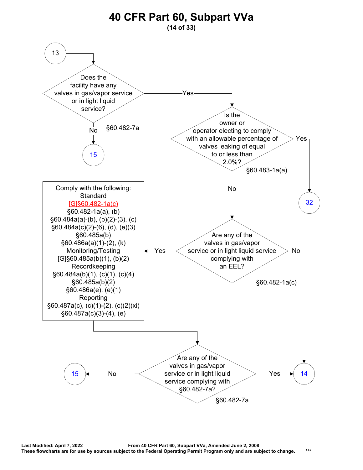<span id="page-13-0"></span>![](_page_13_Figure_0.jpeg)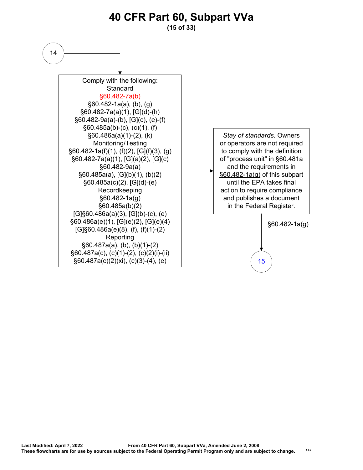<span id="page-14-0"></span>![](_page_14_Figure_0.jpeg)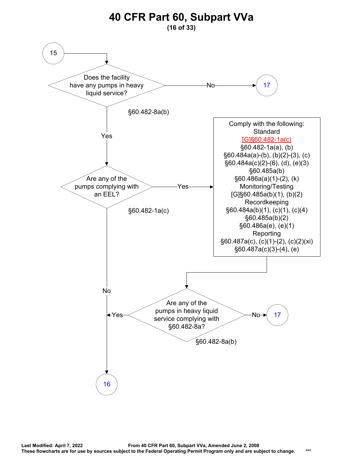<span id="page-15-0"></span>![](_page_15_Figure_0.jpeg)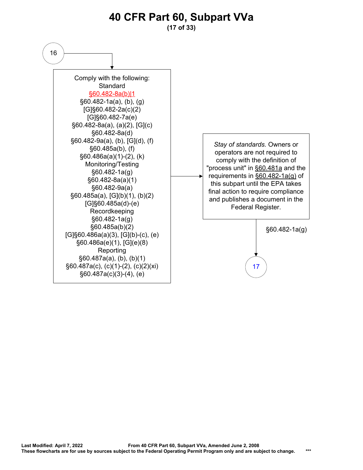**(17 of 33)**

<span id="page-16-0"></span>![](_page_16_Figure_2.jpeg)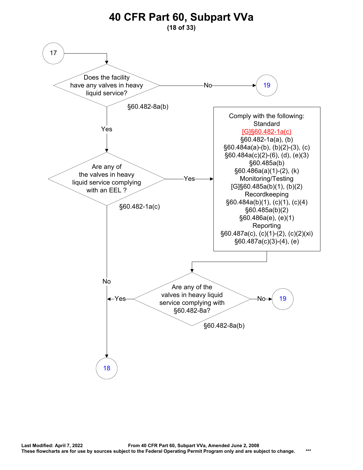<span id="page-17-0"></span>![](_page_17_Figure_0.jpeg)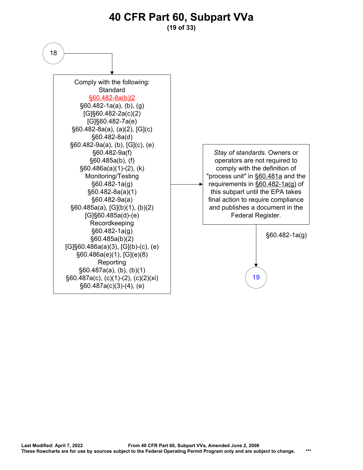**(19 of 33)**

<span id="page-18-0"></span>![](_page_18_Figure_2.jpeg)

*Stay of standards.* Owners or operators are not required to comply with the definition of "process unit" in §60.481a and the requirements in §60.482-1a(g) of this subpart until the EPA takes final action to require compliance and publishes a document in the Federal Register.

> §60.482-1a(g) [19](#page-19-0)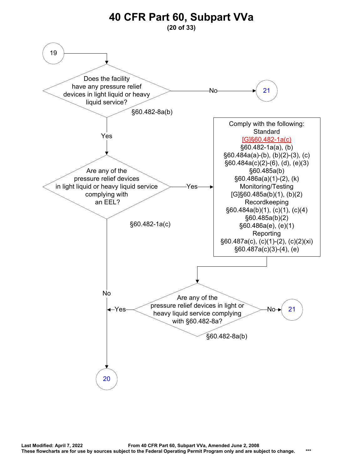<span id="page-19-0"></span>![](_page_19_Figure_0.jpeg)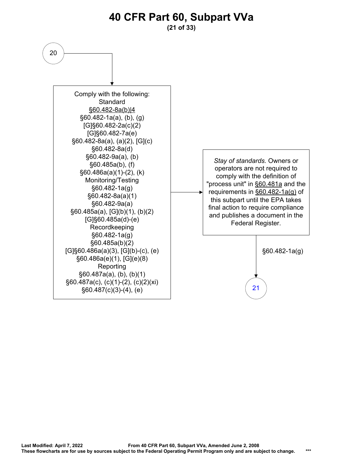#### <span id="page-20-0"></span>**40 CFR Part 60, Subpart VVa (21 of 33)** 20 [21](#page-21-0) *Stay of standards.* Owners or operators are not required to comply with the definition of "process unit" in §60.481a and the requirements in §60.482-1a(g) of this subpart until the EPA takes final action to require compliance and publishes a document in the Federal Register. §60.482-1a(g) Comply with the following: **Standard** §60.482-8a(b)|4 §60.482-1a(a), (b), (g) [G]§60.482-2a(c)(2) [G]§60.482-7a(e) §60.482-8a(a), (a)(2), [G](c) §60.482-8a(d) §60.482-9a(a), (b) §60.485a(b), (f) §60.486a(a)(1)-(2), (k) Monitoring/Testing §60.482-1a(g) §60.482-8a(a)(1) §60.482-9a(a) §60.485a(a), [G](b)(1), (b)(2) [G]§60.485a(d)-(e) Recordkeeping §60.482-1a(g) §60.485a(b)(2) [G]§60.486a(a)(3), [G](b)-(c), (e) §60.486a(e)(1), [G](e)(8) Reporting §60.487a(a), (b), (b)(1) §60.487a(c), (c)(1)-(2), (c)(2)(xi) §60.487(c)(3)-(4), (e)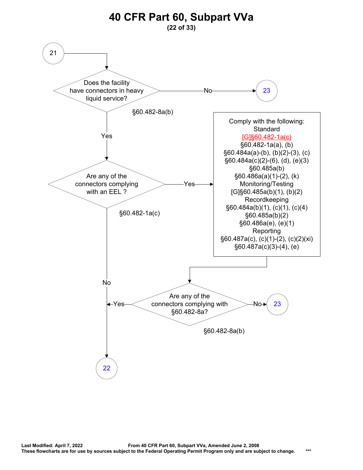<span id="page-21-0"></span>![](_page_21_Figure_0.jpeg)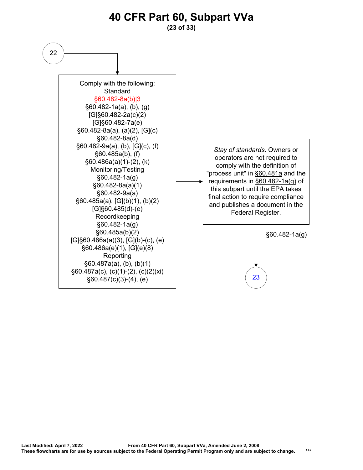**(23 of 33)**

<span id="page-22-0"></span>![](_page_22_Figure_2.jpeg)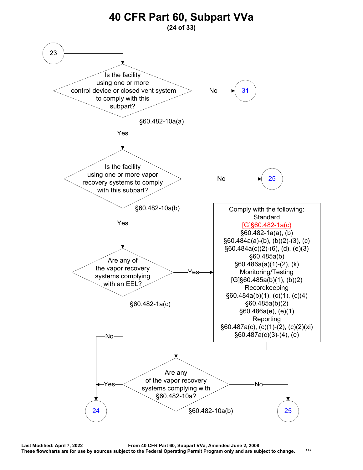<span id="page-23-0"></span>![](_page_23_Figure_0.jpeg)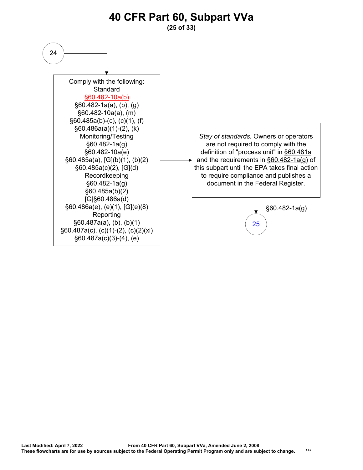**(25 of 33)**

<span id="page-24-0"></span>![](_page_24_Figure_2.jpeg)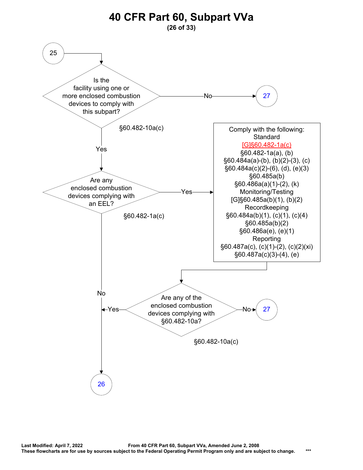<span id="page-25-0"></span>![](_page_25_Figure_0.jpeg)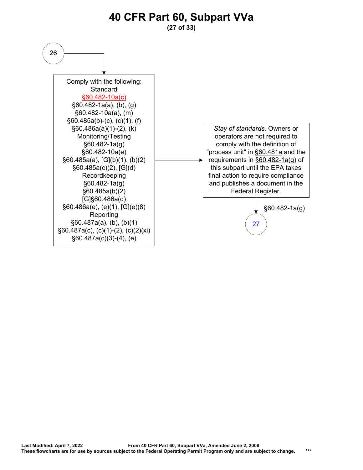**(27 of 33)**

<span id="page-26-0"></span>![](_page_26_Figure_2.jpeg)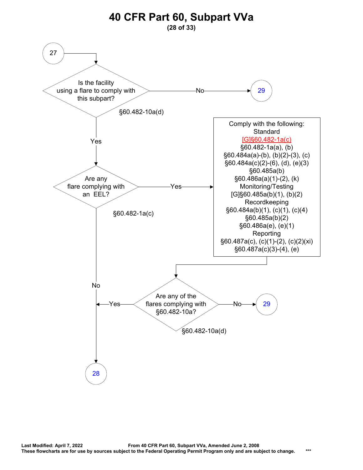<span id="page-27-0"></span>![](_page_27_Figure_0.jpeg)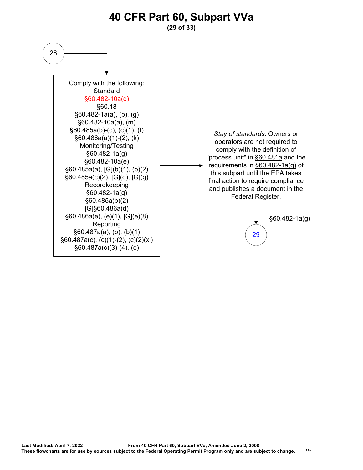![](_page_28_Figure_0.jpeg)

**(29 of 33)**

<span id="page-28-0"></span>![](_page_28_Figure_2.jpeg)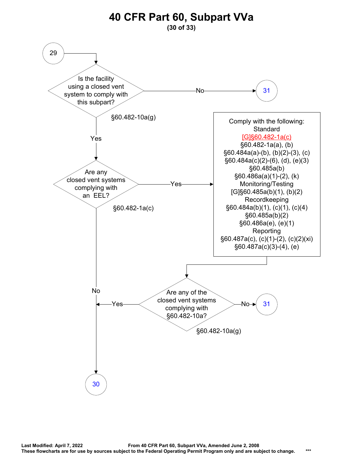<span id="page-29-0"></span>![](_page_29_Figure_0.jpeg)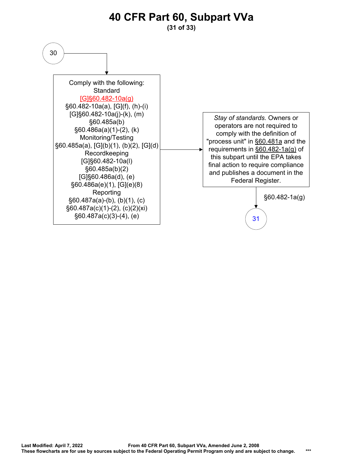**(31 of 33)**

<span id="page-30-0"></span>![](_page_30_Figure_2.jpeg)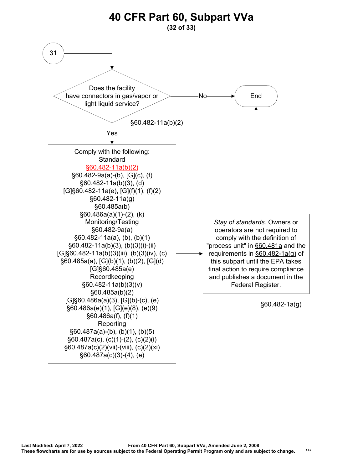<span id="page-31-0"></span>![](_page_31_Figure_0.jpeg)